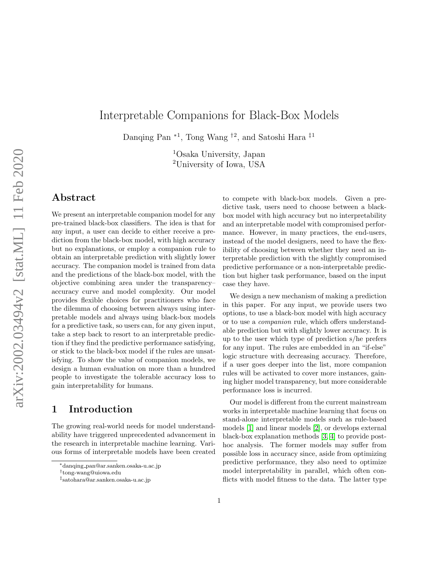# Interpretable Companions for Black-Box Models

Danqing Pan<sup>∗1</sup>, Tong Wang<sup>†2</sup>, and Satoshi Hara<sup>‡1</sup>

<sup>1</sup>Osaka University, Japan <sup>2</sup>University of Iowa, USA

## Abstract

We present an interpretable companion model for any pre-trained black-box classifiers. The idea is that for any input, a user can decide to either receive a prediction from the black-box model, with high accuracy but no explanations, or employ a companion rule to obtain an interpretable prediction with slightly lower accuracy. The companion model is trained from data and the predictions of the black-box model, with the objective combining area under the transparency– accuracy curve and model complexity. Our model provides flexible choices for practitioners who face the dilemma of choosing between always using interpretable models and always using black-box models for a predictive task, so users can, for any given input, take a step back to resort to an interpretable prediction if they find the predictive performance satisfying, or stick to the black-box model if the rules are unsatisfying. To show the value of companion models, we design a human evaluation on more than a hundred people to investigate the tolerable accuracy loss to gain interpretability for humans.

# 1 Introduction

The growing real-world needs for model understandability have triggered unprecedented advancement in the research in interpretable machine learning. Various forms of interpretable models have been created to compete with black-box models. Given a predictive task, users need to choose between a blackbox model with high accuracy but no interpretability and an interpretable model with compromised performance. However, in many practices, the end-users, instead of the model designers, need to have the flexibility of choosing between whether they need an interpretable prediction with the slightly compromised predictive performance or a non-interpretable prediction but higher task performance, based on the input case they have.

We design a new mechanism of making a prediction in this paper. For any input, we provide users two options, to use a black-box model with high accuracy or to use a companion rule, which offers understandable prediction but with slightly lower accuracy. It is up to the user which type of prediction s/he prefers for any input. The rules are embedded in an "if-else" logic structure with decreasing accuracy. Therefore, if a user goes deeper into the list, more companion rules will be activated to cover more instances, gaining higher model transparency, but more considerable performance loss is incurred.

Our model is different from the current mainstream works in interpretable machine learning that focus on stand-alone interpretable models such as rule-based models [\[1\]](#page-9-0) and linear models [\[2\]](#page-9-1), or develops external black-box explanation methods [\[3,](#page-9-2) [4\]](#page-9-3) to provide posthoc analysis. The former models may suffer from possible loss in accuracy since, aside from optimizing predictive performance, they also need to optimize model interpretability in parallel, which often conflicts with model fitness to the data. The latter type

<sup>∗</sup>danqing pan@ar.sanken.osaka-u.ac.jp

<sup>†</sup> tong-wang@uiowa.edu

<sup>‡</sup> satohara@ar.sanken.osaka-u.ac.jp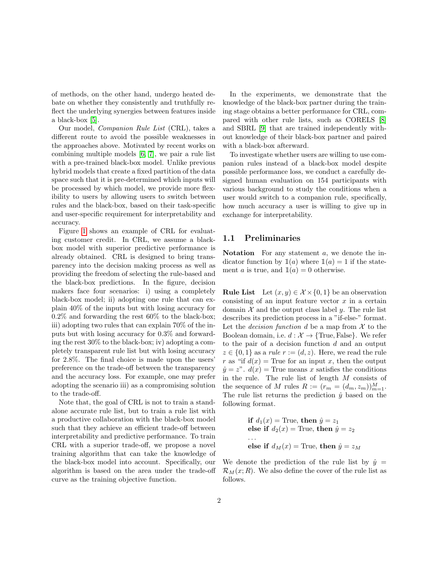of methods, on the other hand, undergo heated debate on whether they consistently and truthfully reflect the underlying synergies between features inside a black-box [\[5\]](#page-9-4).

Our model, Companion Rule List (CRL), takes a different route to avoid the possible weaknesses in the approaches above. Motivated by recent works on combining multiple models [\[6,](#page-9-5) [7\]](#page-9-6), we pair a rule list with a pre-trained black-box model. Unlike previous hybrid models that create a fixed partition of the data space such that it is pre-determined which inputs will be processed by which model, we provide more flexibility to users by allowing users to switch between rules and the black-box, based on their task-specific and user-specific requirement for interpretability and accuracy.

Figure [1](#page-2-0) shows an example of CRL for evaluating customer credit. In CRL, we assume a blackbox model with superior predictive performance is already obtained. CRL is designed to bring transparency into the decision making process as well as providing the freedom of selecting the rule-based and the black-box predictions. In the figure, decision makers face four scenarios: i) using a completely black-box model; ii) adopting one rule that can explain 40% of the inputs but with losing accuracy for  $0.2\%$  and forwarding the rest 60% to the black-box; iii) adopting two rules that can explain 70% of the inputs but with losing accuracy for 0.3% and forwarding the rest 30% to the black-box; iv) adopting a completely transparent rule list but with losing accuracy for 2.8%. The final choice is made upon the users' preference on the trade-off between the transparency and the accuracy loss. For example, one may prefer adopting the scenario iii) as a compromising solution to the trade-off.

Note that, the goal of CRL is not to train a standalone accurate rule list, but to train a rule list with a productive collaboration with the black-box model such that they achieve an efficient trade-off between interpretability and predictive performance. To train CRL with a superior trade-off, we propose a novel training algorithm that can take the knowledge of the black-box model into account. Specifically, our algorithm is based on the area under the trade-off curve as the training objective function.

In the experiments, we demonstrate that the knowledge of the black-box partner during the training stage obtains a better performance for CRL, compared with other rule lists, such as CORELS [\[8\]](#page-9-7) and SBRL [\[9\]](#page-9-8) that are trained independently without knowledge of their black-box partner and paired with a black-box afterward.

To investigate whether users are willing to use companion rules instead of a black-box model despite possible performance loss, we conduct a carefully designed human evaluation on 154 participants with various background to study the conditions when a user would switch to a companion rule, specifically, how much accuracy a user is willing to give up in exchange for interpretability.

#### 1.1 Preliminaries

Notation For any statement a, we denote the indicator function by  $\mathbb{1}(a)$  where  $\mathbb{1}(a) = 1$  if the statement a is true, and  $\mathbb{1}(a) = 0$  otherwise.

**Rule List** Let  $(x, y) \in \mathcal{X} \times \{0, 1\}$  be an observation consisting of an input feature vector  $x$  in a certain domain  $\mathcal X$  and the output class label  $y$ . The rule list describes its prediction process in a "if-else-" format. Let the *decision function* d be a map from  $\mathcal X$  to the Boolean domain, i.e.  $d : \mathcal{X} \to \{\text{True}, \text{False}\}.$  We refer to the pair of a decision function  $d$  and an output  $z \in \{0,1\}$  as a rule  $r := (d, z)$ . Here, we read the rule r as "if  $d(x)$  = True for an input x, then the output  $\hat{y} = z^{\nu}$ .  $d(x) =$ True means x satisfies the conditions in the rule. The rule list of length M consists of the sequence of M rules  $R := (r_m = (d_m, z_m))_{m=1}^M$ . The rule list returns the prediction  $\hat{y}$  based on the following format.

if 
$$
d_1(x)
$$
 = True, then  $\hat{y} = z_1$   
else if  $d_2(x)$  = True, then  $\hat{y} = z_2$   
...  
else if  $d_M(x)$  = True, then  $\hat{y} = z_M$ 

We denote the prediction of the rule list by  $\hat{y} =$  $\mathcal{R}_M(x;R)$ . We also define the cover of the rule list as follows.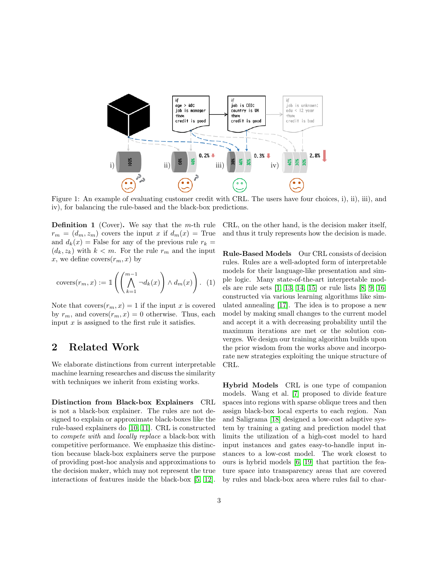

<span id="page-2-0"></span>Figure 1: An example of evaluating customer credit with CRL. The users have four choices, i), ii), iii), and iv), for balancing the rule-based and the black-box predictions.

**Definition 1** (Cover). We say that the  $m$ -th rule  $r_m = (d_m, z_m)$  covers the input x if  $d_m(x) =$ True and  $d_k(x)$  = False for any of the previous rule  $r_k$  =  $(d_k, z_k)$  with  $k < m$ . For the rule  $r_m$  and the input x, we define covers $(r_m, x)$  by

$$
covers(r_m, x) := \mathbb{1}\left(\left(\bigwedge_{k=1}^{m-1} \neg d_k(x)\right) \land d_m(x)\right). \tag{1}
$$

Note that covers $(r_m, x) = 1$  if the input x is covered by  $r_m$ , and covers $(r_m, x) = 0$  otherwise. Thus, each input  $x$  is assigned to the first rule it satisfies.

# <span id="page-2-1"></span>2 Related Work

We elaborate distinctions from current interpretable machine learning researches and discuss the similarity with techniques we inherit from existing works.

Distinction from Black-box Explainers CRL is not a black-box explainer. The rules are not designed to explain or approximate black-boxes like the rule-based explainers do [\[10,](#page-9-9) [11\]](#page-10-0). CRL is constructed to compete with and locally replace a black-box with competitive performance. We emphasize this distinction because black-box explainers serve the purpose of providing post-hoc analysis and approximations to the decision maker, which may not represent the true interactions of features inside the black-box [\[5,](#page-9-4) [12\]](#page-10-1).

CRL, on the other hand, is the decision maker itself, and thus it truly represents how the decision is made.

Rule-Based Models Our CRL consists of decision rules. Rules are a well-adopted form of interpretable models for their language-like presentation and simple logic. Many state-of-the-art interpretable models are rule sets [\[1,](#page-9-0) [13,](#page-10-2) [14,](#page-10-3) [15\]](#page-10-4) or rule lists [\[8,](#page-9-7) [9,](#page-9-8) [16\]](#page-10-5) constructed via various learning algorithms like simulated annealing [\[17\]](#page-10-6). The idea is to propose a new model by making small changes to the current model and accept it a with decreasing probability until the maximum iterations are met or the solution converges. We design our training algorithm builds upon the prior wisdom from the works above and incorporate new strategies exploiting the unique structure of CRL.

Hybrid Models CRL is one type of companion models. Wang et al. [\[7\]](#page-9-6) proposed to divide feature spaces into regions with sparse oblique trees and then assign black-box local experts to each region. Nan and Saligrama [\[18\]](#page-10-7) designed a low-cost adaptive system by training a gating and prediction model that limits the utilization of a high-cost model to hard input instances and gates easy-to-handle input instances to a low-cost model. The work closest to ours is hybrid models [\[6,](#page-9-5) [19\]](#page-10-8) that partition the feature space into transparency areas that are covered by rules and black-box area where rules fail to char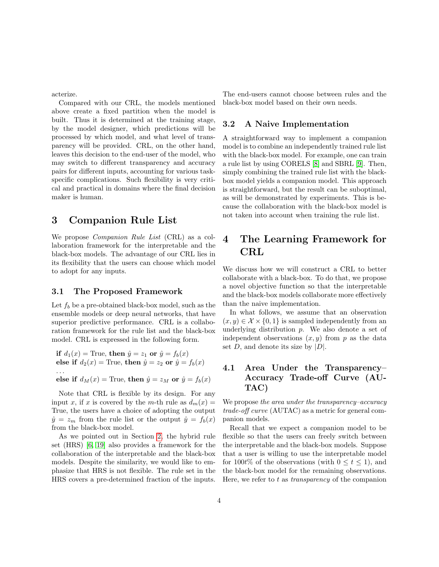acterize.

Compared with our CRL, the models mentioned above create a fixed partition when the model is built. Thus it is determined at the training stage, by the model designer, which predictions will be processed by which model, and what level of transparency will be provided. CRL, on the other hand, leaves this decision to the end-user of the model, who may switch to different transparency and accuracy pairs for different inputs, accounting for various taskspecific complications. Such flexibility is very critical and practical in domains where the final decision maker is human.

#### 3 Companion Rule List

We propose Companion Rule List (CRL) as a collaboration framework for the interpretable and the black-box models. The advantage of our CRL lies in its flexibility that the users can choose which model to adopt for any inputs.

#### 3.1 The Proposed Framework

Let  $f_b$  be a pre-obtained black-box model, such as the ensemble models or deep neural networks, that have superior predictive performance. CRL is a collaboration framework for the rule list and the black-box model. CRL is expressed in the following form.

if  $d_1(x)$  = True, then  $\hat{y} = z_1$  or  $\hat{y} = f_b(x)$ else if  $d_2(x)$  = True, then  $\hat{y} = z_2$  or  $\hat{y} = f_b(x)$ . . . else if  $d_M(x)$  = True, then  $\hat{y} = z_M$  or  $\hat{y} = f_b(x)$ 

Note that CRL is flexible by its design. For any input x, if x is covered by the m-th rule as  $d_m(x) =$ True, the users have a choice of adopting the output  $\hat{y} = z_m$  from the rule list or the output  $\hat{y} = f_b(x)$ from the black-box model.

As we pointed out in Section [2,](#page-2-1) the hybrid rule set (HRS) [\[6,](#page-9-5) [19\]](#page-10-8) also provides a framework for the collaboration of the interpretable and the black-box models. Despite the similarity, we would like to emphasize that HRS is not flexible. The rule set in the HRS covers a pre-determined fraction of the inputs.

The end-users cannot choose between rules and the black-box model based on their own needs.

#### <span id="page-3-0"></span>3.2 A Naive Implementation

A straightforward way to implement a companion model is to combine an independently trained rule list with the black-box model. For example, one can train a rule list by using CORELS [\[8\]](#page-9-7) and SBRL [\[9\]](#page-9-8). Then, simply combining the trained rule list with the blackbox model yields a companion model. This approach is straightforward, but the result can be suboptimal, as will be demonstrated by experiments. This is because the collaboration with the black-box model is not taken into account when training the rule list.

# 4 The Learning Framework for CRL

We discuss how we will construct a CRL to better collaborate with a black-box. To do that, we propose a novel objective function so that the interpretable and the black-box models collaborate more effectively than the naive implementation.

In what follows, we assume that an observation  $(x, y) \in \mathcal{X} \times \{0, 1\}$  is sampled independently from an underlying distribution  $p$ . We also denote a set of independent observations  $(x, y)$  from p as the data set  $D$ , and denote its size by  $|D|$ .

#### 4.1 Area Under the Transparency– Accuracy Trade-off Curve (AU-TAC)

We propose the area under the transparency–accuracy trade-off curve (AUTAC) as a metric for general companion models.

Recall that we expect a companion model to be flexible so that the users can freely switch between the interpretable and the black-box models. Suppose that a user is willing to use the interpretable model for 100t% of the observations (with  $0 \le t \le 1$ ), and the black-box model for the remaining observations. Here, we refer to  $t$  as *transparency* of the companion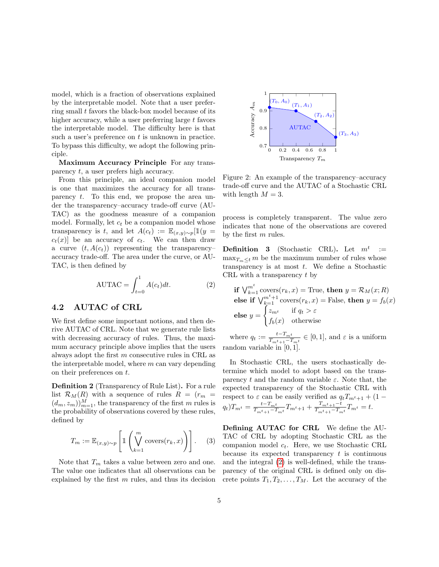model, which is a fraction of observations explained by the interpretable model. Note that a user preferring small  $t$  favors the black-box model because of its higher accuracy, while a user preferring large t favors the interpretable model. The difficulty here is that such a user's preference on  $t$  is unknown in practice. To bypass this difficulty, we adopt the following principle.

Maximum Accuracy Principle For any transparency t, a user prefers high accuracy.

From this principle, an ideal companion model is one that maximizes the accuracy for all transparency t. To this end, we propose the area under the transparency–accuracy trade-off curve (AU-TAC) as the goodness measure of a companion model. Formally, let  $c_t$  be a companion model whose transparency is t, and let  $A(c_t) := \mathbb{E}_{(x,y)\sim p}[\mathbb{1}(y =$  $c_t(x)$  be an accuracy of  $c_t$ . We can then draw a curve  $(t, A(c_t))$  representing the transparencyaccuracy trade-off. The area under the curve, or AU-TAC, is then defined by

$$
AUTAC = \int_{t=0}^{1} A(c_t)dt.
$$
 (2)

#### 4.2 AUTAC of CRL

We first define some important notions, and then derive AUTAC of CRL. Note that we generate rule lists with decreasing accuracy of rules. Thus, the maximum accuracy principle above implies that the users always adopt the first m consecutive rules in CRL as the interpretable model, where  $m$  can vary depending on their preferences on t.

Definition 2 (Transparency of Rule List). For a rule list  $\mathcal{R}_M(R)$  with a sequence of rules  $R = (r_m =$  $(d_m, z_m)_{m=1}^M$ , the transparency of the first m rules is the probability of observations covered by these rules, defined by

$$
T_m := \mathbb{E}_{(x,y)\sim p} \left[ \mathbb{1} \left( \bigvee_{k=1}^m \text{ covers}(r_k, x) \right) \right]. \tag{3}
$$

Note that  $T_m$  takes a value between zero and one. The value one indicates that all observations can be explained by the first  $m$  rules, and thus its decision



<span id="page-4-1"></span>Figure 2: An example of the transparency–accuracy trade-off curve and the AUTAC of a Stochastic CRL with length  $M = 3$ .

process is completely transparent. The value zero indicates that none of the observations are covered by the first m rules.

**Definition 3** (Stochastic CRL). Let  $m^t$ :=  $\max_{T_m \leq t} m$  be the maximum number of rules whose transparency is at most  $t$ . We define a Stochastic CRL with a transparency  $t$  by

<span id="page-4-0"></span>
$$
\begin{aligned}\n\text{if } \bigvee_{k=1}^{m^t} \text{ covers}(r_k, x) &= \text{True, then } y = \mathcal{R}_M(x; R) \\
\text{else if } \bigvee_{k=1}^{m^t+1} \text{ covers}(r_k, x) &= \text{False, then } y = f_b(x) \\
\text{else } y &= \begin{cases}\n z_{m^t} & \text{if } q_t > \varepsilon \\
 f_b(x) & \text{otherwise}\n\end{cases}\n\end{aligned}
$$

where  $q_t := \frac{t-T_{mt}}{T_{t+1}-T}$  $\frac{t - I_{mt}}{T_{mt+1} - T_{mt}} \in [0, 1],$  and  $\varepsilon$  is a uniform random variable in [0, 1].

In Stochastic CRL, the users stochastically determine which model to adopt based on the transparency t and the random variable  $\varepsilon$ . Note that, the expected transparency of the Stochastic CRL with respect to  $\varepsilon$  can be easily verified as  $q_tT_{m^t+1} + (1 (q_t)T_{m^t} = \frac{t-T_{m^t}}{T_{m^t+1}-T}$  $\frac{t-T_{m^t}}{T_{m^t+1}-T_{m^t}}T_{m^t+1} + \frac{T_{m^t+1}-t}{T_{m^t+1}-T_{m}}$  $\frac{r_mt+1-t}{T_mt+1}-T_mt} = t.$ 

Defining AUTAC for CRL We define the AU-TAC of CRL by adopting Stochastic CRL as the companion model  $c_t$ . Here, we use Stochastic CRL because its expected transparency  $t$  is continuous and the integral [\(2\)](#page-4-0) is well-defined, while the transparency of the original CRL is defined only on discrete points  $T_1, T_2, \ldots, T_M$ . Let the accuracy of the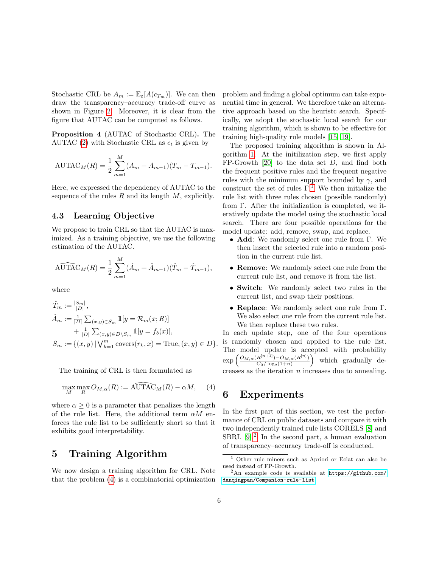Stochastic CRL be  $A_m := \mathbb{E}_{\varepsilon}[A(c_{T_m})]$ . We can then draw the transparency–accuracy trade-off curve as shown in Figure [2.](#page-4-1) Moreover, it is clear from the figure that AUTAC can be computed as follows.

Proposition 4 (AUTAC of Stochastic CRL). The AUTAC [\(2\)](#page-4-0) with Stochastic CRL as  $c_t$  is given by

$$
AUTAC_M(R) = \frac{1}{2} \sum_{m=1}^{M} (A_m + A_{m-1})(T_m - T_{m-1}).
$$

Here, we expressed the dependency of AUTAC to the sequence of the rules  $R$  and its length  $M$ , explicitly.

#### 4.3 Learning Objective

We propose to train CRL so that the AUTAC is maximized. As a training objective, we use the following estimation of the AUTAC.

$$
\widehat{\mathrm{AUTAC}}_M(R) = \frac{1}{2} \sum_{m=1}^M (\hat{A}_m + \hat{A}_{m-1})(\hat{T}_m - \hat{T}_{m-1}),
$$

where

$$
\hat{T}_m := \frac{|S_m|}{|D|},
$$
\n
$$
\hat{A}_m := \frac{1}{|D|} \sum_{(x,y) \in S_m} \mathbb{1}[y = \mathcal{R}_m(x; R)] + \frac{1}{|D|} \sum_{(x,y) \in D \setminus S_m} \mathbb{1}[y = f_b(x)],
$$
\n
$$
S_m := \{(x, y) \mid \bigvee_{k=1}^m \text{ covers}(r_k, x) = \text{True}, (x, y) \in D\}.
$$

The training of CRL is then formulated as

$$
\max_{M} \max_{R} O_{M,\alpha}(R) := \widehat{\mathrm{AUTAC}}_{M}(R) - \alpha M, \quad (4)
$$

where  $\alpha \geq 0$  is a parameter that penalizes the length of the rule list. Here, the additional term  $\alpha M$  enforces the rule list to be sufficiently short so that it exhibits good interpretability.

#### 5 Training Algorithm

We now design a training algorithm for CRL. Note that the problem [\(4\)](#page-5-0) is a combinatorial optimization problem and finding a global optimum can take exponential time in general. We therefore take an alternative approach based on the heuristc search. Specifically, we adopt the stochastic local search for our training algorithm, which is shown to be effective for training high-quality rule models [\[15,](#page-10-4) [19\]](#page-10-8).

The proposed training algorithm is shown in Algorithm [1.](#page-11-0) At the initilization step, we first apply FP-Growth [\[20\]](#page-10-9) to the data set D, and find both the frequent positive rules and the frequent negative rules with the minimum support bounded by  $\gamma$ , and construct the set of rules  $\Gamma$ <sup>[1](#page-5-1)</sup>. We then initialize the rule list with three rules chosen (possible randomly) from Γ. After the initialization is completed, we iteratively update the model using the stochastic local search. There are four possible operations for the model update: add, remove, swap, and replace.

- Add: We randomly select one rule from Γ. We then insert the selected rule into a random position in the current rule list.
- Remove: We randomly select one rule from the current rule list, and remove it from the list.
- Switch: We randomly select two rules in the current list, and swap their positions.
- Replace: We randomly select one rule from Γ. We also select one rule from the current rule list. We then replace these two rules.

In each update step, one of the four operations is randomly chosen and applied to the rule list. The model update is accepted with probability exp  $O_{M,\alpha}(R^{[n+1]})-O_{M,\alpha}(R^{[n]})$  $C_0 / \log_2(1+n)$ which gradually decreases as the iteration  $n$  increases due to annealing.

#### <span id="page-5-3"></span><span id="page-5-0"></span>6 Experiments

In the first part of this section, we test the performance of CRL on public datasets and compare it with two independently trained rule lists CORELS [\[8\]](#page-9-7) and SBRL  $[9]^2$  $[9]^2$ . In the second part, a human evaluation of transparency–accuracy trade-off is conducted.

<span id="page-5-1"></span><sup>1</sup> Other rule miners such as Apriori or Eclat can also be used instead of FP-Growth.

<span id="page-5-2"></span> ${}^{2}$ An example code is available at [https://github.com/](https://github.com/danqingpan/Companion-rule-list) [danqingpan/Companion-rule-list](https://github.com/danqingpan/Companion-rule-list)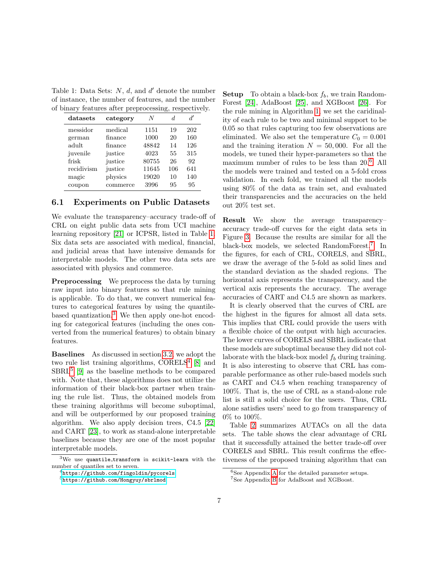<span id="page-6-0"></span>Table 1: Data Sets:  $N$ ,  $d$ , and  $d'$  denote the number of instance, the number of features, and the number of binary features after preprocessing, respectively.

| datasets   | category | N     | d.  | d'  |
|------------|----------|-------|-----|-----|
| messidor   | medical  | 1151  | 19  | 202 |
| german     | finance  | 1000  | 20  | 160 |
| adult      | finance  | 48842 | 14  | 126 |
| juvenile   | justice  | 4023  | 55  | 315 |
| frisk      | justice  | 80755 | 26  | 92  |
| recidivism | justice  | 11645 | 106 | 641 |
| magic      | physics  | 19020 | 10  | 140 |
| coupon     | commerce | 3996  | 95  | 95  |

#### 6.1 Experiments on Public Datasets

We evaluate the transparency–accuracy trade-off of CRL on eight public data sets from UCI machine learning repository [\[21\]](#page-10-10) or ICPSR, listed in Table [1.](#page-6-0) Six data sets are associated with medical, financial, and judicial areas that have intensive demands for interpretable models. The other two data sets are associated with physics and commerce.

Preprocessing We preprocess the data by turning raw input into binary features so that rule mining is applicable. To do that, we convert numerical features to categorical features by using the quantilebased quantization.[3](#page-6-1) We then apply one-hot encoding for categorical features (including the ones converted from the numerical features) to obtain binary features.

Baselines As discussed in section [3.2,](#page-3-0) we adopt the two rule list training algorithms,  $CORELS<sup>4</sup>$  $CORELS<sup>4</sup>$  $CORELS<sup>4</sup>$  [\[8\]](#page-9-7) and  $SBRL<sup>5</sup>$  $SBRL<sup>5</sup>$  $SBRL<sup>5</sup>$  [\[9\]](#page-9-8) as the baseline methods to be compared with. Note that, these algorithms does not utilize the information of their black-box partner when training the rule list. Thus, the obtained models from these training algorithms will become suboptimal, and will be outperformed by our proposed training algorithm. We also apply decision trees, C4.5 [\[22\]](#page-10-11) and CART [\[23\]](#page-10-12), to work as stand-alone interpretable baselines because they are one of the most popular interpretable models.

**Setup** To obtain a black-box  $f_b$ , we train Random-Forest [\[24\]](#page-10-13), AdaBoost [\[25\]](#page-10-14), and XGBoost [\[26\]](#page-10-15). For the rule mining in Algorithm [1,](#page-11-0) we set the caridinality of each rule to be two and minimal support to be 0.05 so that rules capturing too few observations are eliminated. We also set the temperature  $C_0 = 0.001$ and the training iteration  $N = 50,000$ . For all the models, we tuned their hyper-parameters so that the maximum number of rules to be less than 20.[6](#page-6-4) All the models were trained and tested on a 5-fold cross validation. In each fold, we trained all the models using 80% of the data as train set, and evaluated their transparencies and the accuracies on the held out 20% test set.

Result We show the average transparency– accuracy trade-off curves for the eight data sets in Figure [3.](#page-7-0) Because the results are similar for all the black-box models, we selected RandomForest.<sup>[7](#page-6-5)</sup> In the figures, for each of CRL, CORELS, and SBRL, we draw the average of the 5-fold as solid lines and the standard deviation as the shaded regions. The horizontal axis represents the transparency, and the vertical axis represents the accuracy. The average accuracies of CART and C4.5 are shown as markers.

It is clearly observed that the curves of CRL are the highest in the figures for almost all data sets. This implies that CRL could provide the users with a flexible choice of the output with high accuracies. The lower curves of CORELS and SBRL indicate that these models are suboptimal because they did not collaborate with the black-box model  $f_b$  during training. It is also interesting to observe that CRL has comparable performance as other rule-based models such as CART and C4.5 when reaching transparency of 100%. That is, the use of CRL as a stand-alone rule list is still a solid choice for the users. Thus, CRL alone satisfies users' need to go from transparency of 0% to 100%.

Table [2](#page-7-1) summarizes AUTACs on all the data sets. The table shows the clear advantage of CRL that it successfully attained the better trade-off over CORELS and SBRL. This result confirms the effectiveness of the proposed training algorithm that can

<span id="page-6-1"></span> $3$ We use quantile\_transform in scikit-learn with the number of quantiles set to seven.

<span id="page-6-2"></span> $^4$ <https://github.com/fingoldin/pycorels>

<span id="page-6-3"></span><sup>5</sup><https://github.com/Hongyuy/sbrlmod>

<span id="page-6-4"></span> ${}^{6}$ See [A](#page-12-0)ppendix A for the detailed parameter setups.

<span id="page-6-5"></span><sup>7</sup>See Appendix [B](#page-13-0) for AdaBoost and XGBoost.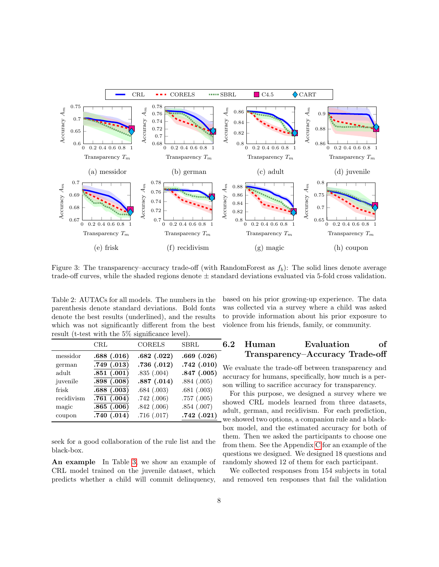

<span id="page-7-0"></span>Figure 3: The transparency–accuracy trade-off (with RandomForest as  $f<sub>b</sub>$ ): The solid lines denote average trade-off curves, while the shaded regions denote ± standard deviations evaluated via 5-fold cross validation.

<span id="page-7-1"></span>Table 2: AUTACs for all models. The numbers in the parenthesis denote standard deviations. Bold fonts denote the best results (underlined), and the results which was not significantly different from the best result (t-test with the 5% significance level).

|            | $\rm CRL$      | <b>CORELS</b> | SBRL       |
|------------|----------------|---------------|------------|
| messidor   | .688(.016)     | .682(.022)    | .669(.026) |
| german     | $.749\ (.013)$ | .736(.012)    | .742(.010) |
| adult      | .851(.001)     | .835(.004)    | .847(.005) |
| juvenile   | .898(.008)     | .887(.014)    | .884(.005) |
| frisk      | .688(.003)     | .684(.003)    | .681(.003) |
| recidivism | .761(.004)     | .742(.006)    | .757(.005) |
| magic      | .865(.006)     | .842(.006)    | .854(.007) |
| coupon     | .740(.014)     | .716(.017)    | .742(.021) |

seek for a good collaboration of the rule list and the black-box.

An example In Table [3,](#page-8-0) we show an example of CRL model trained on the juvenile dataset, which predicts whether a child will commit delinquency,

based on his prior growing-up experience. The data was collected via a survey where a child was asked to provide information about his prior exposure to violence from his friends, family, or community.

## 6.2 Human Evaluation of Transparency–Accuracy Trade-off

We evaluate the trade-off between transparency and accuracy for humans, specifically, how much is a person willing to sacrifice accuracy for transparency.

For this purpose, we designed a survey where we showed CRL models learned from three datasets, adult, german, and recidivism. For each prediction, we showed two options, a companion rule and a blackbox model, and the estimated accuracy for both of them. Then we asked the participants to choose one from them. See the Appendix [C](#page-16-0) for an example of the questions we designed. We designed 18 questions and randomly showed 12 of them for each participant.

We collected responses from 154 subjects in total and removed ten responses that fail the validation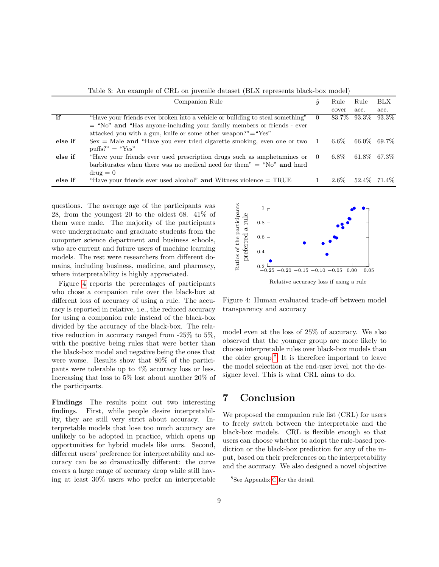<span id="page-8-0"></span>Table 3: An example of CRL on juvenile dataset (BLX represents black-box model)

| Companion Rule |                                                                               | $\boldsymbol{y}$ | Rule    | Rule                 | <b>BLX</b> |
|----------------|-------------------------------------------------------------------------------|------------------|---------|----------------------|------------|
|                |                                                                               |                  | cover   | acc.                 | acc.       |
| if             | "Have your friends ever broken into a vehicle or building to steal something" |                  |         | 83.7\% 93.3\% 93.3\% |            |
|                | $=$ "No" and "Has anyone-including your family members or friends - ever      |                  |         |                      |            |
|                | attacked you with a gun, knife or some other weapon?" $=$ "Yes"               |                  |         |                      |            |
| else if        | $Sex = Male$ and "Have you ever tried cigarette smoking, even one or two 1    |                  | $6.6\%$ | 66.0\% 69.7\%        |            |
|                | $\text{puffs?"} = \text{``Yes''}$                                             |                  |         |                      |            |
| else if        | "Have your friends ever used prescription drugs such as amphetamines or 0     |                  | $6.8\%$ | 61.8\% 67.3\%        |            |
|                | barbiturates when there was no medical need for them" $=$ "No" and hard       |                  |         |                      |            |
|                | $\text{drug} = 0$                                                             |                  |         |                      |            |
| else if        | "Have your friends ever used alcohol" and Witness violence $= \text{TRUE}$    |                  | $2.6\%$ | 52.4\% 71.4\%        |            |

questions. The average age of the participants was 28, from the youngest 20 to the oldest 68. 41% of them were male. The majority of the participants were undergraduate and graduate students from the computer science department and business schools, who are current and future users of machine learning models. The rest were researchers from different domains, including business, medicine, and pharmacy, where interpretability is highly appreciated.

Figure [4](#page-8-1) reports the percentages of participants who chose a companion rule over the black-box at different loss of accuracy of using a rule. The accuracy is reported in relative, i.e., the reduced accuracy for using a companion rule instead of the black-box divided by the accuracy of the black-box. The relative reduction in accuracy ranged from -25% to 5%, with the positive being rules that were better than the black-box model and negative being the ones that were worse. Results show that 80% of the participants were tolerable up to 4% accuracy loss or less. Increasing that loss to 5% lost about another 20% of the participants.

Findings The results point out two interesting findings. First, while people desire interpretability, they are still very strict about accuracy. Interpretable models that lose too much accuracy are unlikely to be adopted in practice, which opens up opportunities for hybrid models like ours. Second, different users' preference for interpretability and accuracy can be so dramatically different: the curve covers a large range of accuracy drop while still having at least 30% users who prefer an interpretable



<span id="page-8-1"></span>Figure 4: Human evaluated trade-off between model transparency and accuracy

model even at the loss of 25% of accuracy. We also observed that the younger group are more likely to choose interpretable rules over black-box models than the older group.[8](#page-8-2) It is therefore important to leave the model selection at the end-user level, not the designer level. This is what CRL aims to do.

## 7 Conclusion

We proposed the companion rule list (CRL) for users to freely switch between the interpretable and the black-box models. CRL is flexible enough so that users can choose whether to adopt the rule-based prediction or the black-box prediction for any of the input, based on their preferences on the interpretability and the accuracy. We also designed a novel objective

<span id="page-8-2"></span><sup>8</sup>See Appendix [C](#page-16-0) for the detail.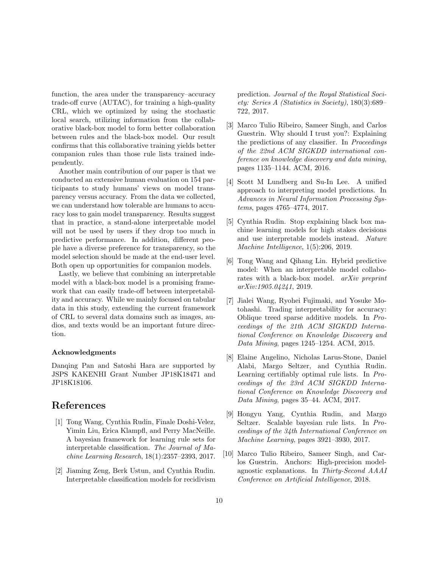function, the area under the transparency–accuracy trade-off curve (AUTAC), for training a high-quality CRL, which we optimized by using the stochastic local search, utilizing information from the collaborative black-box model to form better collaboration between rules and the black-box model. Our result confirms that this collaborative training yields better companion rules than those rule lists trained independently.

Another main contribution of our paper is that we conducted an extensive human evaluation on 154 participants to study humans' views on model transparency versus accuracy. From the data we collected, we can understand how tolerable are humans to accuracy loss to gain model transparency. Results suggest that in practice, a stand-alone interpretable model will not be used by users if they drop too much in predictive performance. In addition, different people have a diverse preference for transparency, so the model selection should be made at the end-user level. Both open up opportunities for companion models.

Lastly, we believe that combining an interpretable model with a black-box model is a promising framework that can easily trade-off between interpretability and accuracy. While we mainly focused on tabular data in this study, extending the current framework of CRL to several data domains such as images, audios, and texts would be an important future direction.

#### Acknowledgments

Danqing Pan and Satoshi Hara are supported by JSPS KAKENHI Grant Number JP18K18471 and JP18K18106.

# References

- <span id="page-9-0"></span>[1] Tong Wang, Cynthia Rudin, Finale Doshi-Velez, Yimin Liu, Erica Klampfl, and Perry MacNeille. A bayesian framework for learning rule sets for interpretable classification. The Journal of Machine Learning Research, 18(1):2357–2393, 2017.
- <span id="page-9-1"></span>[2] Jiaming Zeng, Berk Ustun, and Cynthia Rudin. Interpretable classification models for recidivism

prediction. Journal of the Royal Statistical Society: Series A (Statistics in Society), 180(3):689– 722, 2017.

- <span id="page-9-2"></span>[3] Marco Tulio Ribeiro, Sameer Singh, and Carlos Guestrin. Why should I trust you?: Explaining the predictions of any classifier. In Proceedings of the 22nd ACM SIGKDD international conference on knowledge discovery and data mining, pages 1135–1144. ACM, 2016.
- <span id="page-9-3"></span>[4] Scott M Lundberg and Su-In Lee. A unified approach to interpreting model predictions. In Advances in Neural Information Processing Systems, pages 4765–4774, 2017.
- <span id="page-9-4"></span>[5] Cynthia Rudin. Stop explaining black box machine learning models for high stakes decisions and use interpretable models instead. Nature Machine Intelligence, 1(5):206, 2019.
- <span id="page-9-5"></span>[6] Tong Wang and Qihang Lin. Hybrid predictive model: When an interpretable model collaborates with a black-box model. arXiv preprint arXiv:1905.04241, 2019.
- <span id="page-9-6"></span>[7] Jialei Wang, Ryohei Fujimaki, and Yosuke Motohashi. Trading interpretability for accuracy: Oblique treed sparse additive models. In Proceedings of the 21th ACM SIGKDD International Conference on Knowledge Discovery and Data Mining, pages 1245–1254. ACM, 2015.
- <span id="page-9-7"></span>[8] Elaine Angelino, Nicholas Larus-Stone, Daniel Alabi, Margo Seltzer, and Cynthia Rudin. Learning certifiably optimal rule lists. In Proceedings of the 23rd ACM SIGKDD International Conference on Knowledge Discovery and Data Mining, pages 35–44. ACM, 2017.
- <span id="page-9-8"></span>[9] Hongyu Yang, Cynthia Rudin, and Margo Seltzer. Scalable bayesian rule lists. In Proceedings of the 34th International Conference on Machine Learning, pages 3921–3930, 2017.
- <span id="page-9-9"></span>[10] Marco Tulio Ribeiro, Sameer Singh, and Carlos Guestrin. Anchors: High-precision modelagnostic explanations. In Thirty-Second AAAI Conference on Artificial Intelligence, 2018.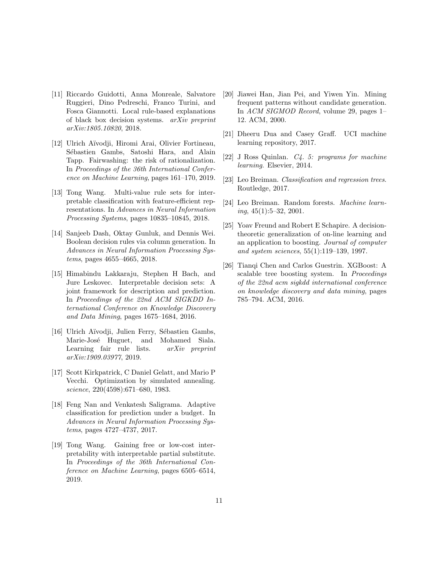- <span id="page-10-0"></span>[11] Riccardo Guidotti, Anna Monreale, Salvatore Ruggieri, Dino Pedreschi, Franco Turini, and Fosca Giannotti. Local rule-based explanations of black box decision systems. arXiv preprint arXiv:1805.10820, 2018.
- <span id="page-10-1"></span>[12] Ulrich A¨ıvodji, Hiromi Arai, Olivier Fortineau, Sébastien Gambs, Satoshi Hara, and Alain Tapp. Fairwashing: the risk of rationalization. In Proceedings of the 36th International Conference on Machine Learning, pages 161–170, 2019.
- <span id="page-10-2"></span>[13] Tong Wang. Multi-value rule sets for interpretable classification with feature-efficient representations. In Advances in Neural Information Processing Systems, pages 10835–10845, 2018.
- <span id="page-10-3"></span>[14] Sanjeeb Dash, Oktay Gunluk, and Dennis Wei. Boolean decision rules via column generation. In Advances in Neural Information Processing Systems, pages 4655–4665, 2018.
- <span id="page-10-4"></span>[15] Himabindu Lakkaraju, Stephen H Bach, and Jure Leskovec. Interpretable decision sets: A joint framework for description and prediction. In Proceedings of the 22nd ACM SIGKDD International Conference on Knowledge Discovery and Data Mining, pages 1675–1684, 2016.
- <span id="page-10-5"></span>[16] Ulrich Aïvodji, Julien Ferry, Sébastien Gambs, Marie-José Huguet, and Mohamed Siala. Learning fair rule lists. arXiv preprint arXiv:1909.03977, 2019.
- <span id="page-10-6"></span>[17] Scott Kirkpatrick, C Daniel Gelatt, and Mario P Vecchi. Optimization by simulated annealing. science, 220(4598):671–680, 1983.
- <span id="page-10-7"></span>[18] Feng Nan and Venkatesh Saligrama. Adaptive classification for prediction under a budget. In Advances in Neural Information Processing Systems, pages 4727–4737, 2017.
- <span id="page-10-8"></span>[19] Tong Wang. Gaining free or low-cost interpretability with interpretable partial substitute. In Proceedings of the 36th International Conference on Machine Learning, pages 6505–6514, 2019.
- <span id="page-10-9"></span>[20] Jiawei Han, Jian Pei, and Yiwen Yin. Mining frequent patterns without candidate generation. In ACM SIGMOD Record, volume 29, pages 1– 12. ACM, 2000.
- <span id="page-10-10"></span>[21] Dheeru Dua and Casey Graff. UCI machine learning repository, 2017.
- <span id="page-10-11"></span>[22] J Ross Quinlan. C4. 5: programs for machine learning. Elsevier, 2014.
- <span id="page-10-12"></span>[23] Leo Breiman. Classification and regression trees. Routledge, 2017.
- <span id="page-10-13"></span>[24] Leo Breiman. Random forests. Machine learn $ing, 45(1):5-32, 2001.$
- <span id="page-10-14"></span>[25] Yoav Freund and Robert E Schapire. A decisiontheoretic generalization of on-line learning and an application to boosting. Journal of computer and system sciences, 55(1):119–139, 1997.
- <span id="page-10-15"></span>[26] Tianqi Chen and Carlos Guestrin. XGBoost: A scalable tree boosting system. In Proceedings of the 22nd acm sigkdd international conference on knowledge discovery and data mining, pages 785–794. ACM, 2016.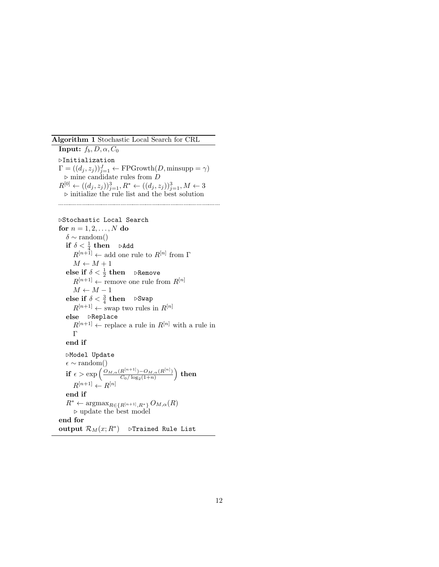<span id="page-11-0"></span>Algorithm 1 Stochastic Local Search for CRL

**Input:**  $f_b, D, \alpha, C_0$  $\triangleright$ Initialization  $\Gamma = ((d_j, z_j))_{j=1}^J \leftarrow \text{FPGrowth}(D, \text{minsupp} = \gamma)$  $\triangleright$  mine candidate rules from  $D$  $R^{[0]} \leftarrow ((d_j, z_j))_{j=1}^3, R^* \leftarrow ((d_j, z_j))_{j=1}^3, M \leftarrow 3$  $\triangleright$  initialize the rule list and the best solution 

```
.Stochastic Local Search
for n = 1, 2, ..., N do
    \delta \sim \text{random}()\text{if} \,\, \delta < \frac{1}{4} \,\, \text{then} \quad \, \triangleright \text{Add}R^{[n+1]} \leftarrow add one rule to R^{[n]} from \GammaM \leftarrow M + 1else if \delta < \frac{1}{2} then \;\; \trianglerightRemove
        R^{[n+1]} \leftarrow remove one rule from R^{[n]}M \leftarrow M - 1else if \delta < \frac{3}{4} then \Rightarrow Swap
       R^{[n+1]} \leftarrow \text{swap} two rules in R^{[n]}else DReplace
       R^{[n+1]} \leftarrow replace a rule in R^{[n]} with a rule in
       Γ
   end if
   \trianglerightModel Update
    \epsilon ∼ random()
    if \epsilon > \exp \left( \frac{O_{M,\alpha}(R^{[n+1]})-O_{M,\alpha}(R^{[n]})}{C_{\alpha}/\log_{2}(1+n)} \right)\frac{R^{[n+1]})-O_{M,\alpha}(R^{[n]})}{C_0/\log_2(1+n)} then
        R^{[n+1]} \leftarrow R^{[n]}end if
    R^* \leftarrow \text{argmax}_{R \in \{R^{[n+1]}, R^*\}} O_{M,\alpha}(R)\triangleright update the best model
end for
output \mathcal{R}_M(x;R^*) DFrained Rule List
```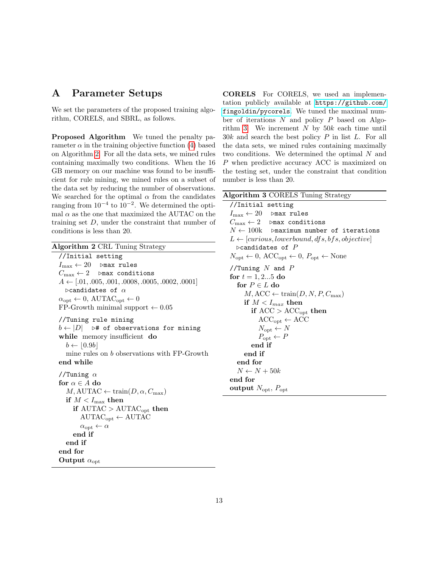# <span id="page-12-0"></span>A Parameter Setups

We set the parameters of the proposed training algorithm, CORELS, and SBRL, as follows.

Proposed Algorithm We tuned the penalty parameter  $\alpha$  in the training objective function [\(4\)](#page-5-0) based on Algorithm [2.](#page-12-1) For all the data sets, we mined rules containing maximally two conditions. When the 16 GB memory on our machine was found to be insufficient for rule mining, we mined rules on a subset of the data set by reducing the number of observations. We searched for the optimal  $\alpha$  from the candidates ranging from  $10^{-4}$  to  $10^{-2}$ . We determined the optimal  $\alpha$  as the one that maximized the AUTAC on the training set  $D$ , under the constraint that number of conditions is less than 20.

<span id="page-12-1"></span>

| Algorithm 2 CRL Tuning Strategy                                        |
|------------------------------------------------------------------------|
| //Initial setting                                                      |
| $I_{\max} \leftarrow 20$ $\triangleright$ max rules                    |
| $C_{\max} \leftarrow 2$ $\triangleright$ max conditions                |
| $A \leftarrow [.01, .005, .001, .0008, .0005, .0002, .0001]$           |
| $\triangleright$ candidates of $\alpha$                                |
| $\alpha_{\rm opt} \leftarrow 0$ , AUTAC <sub>opt</sub> $\leftarrow 0$  |
| FP-Growth minimal support $\leftarrow 0.05$                            |
| //Tuning rule mining                                                   |
| $b \leftarrow  D $ $\rightarrow \nparallel$ of observations for mining |
| while memory insufficient do                                           |
| $b \leftarrow  0.9b $                                                  |
| mine rules on $b$ observations with FP-Growth                          |
| end while                                                              |
| //Tuning $\alpha$                                                      |
| for $\alpha \in A$ do                                                  |
| $M, \text{AUTAC} \leftarrow \text{train}(D, \alpha, C_{\text{max}})$   |
| if $M < I_{\rm max}$ then                                              |
| if $\text{AUTAC} > \text{AUTAC}_{\text{opt}}$ then                     |
| $\text{AUTAC}_{\text{opt}} \leftarrow \text{AUTAC}$                    |
| $\alpha_{\rm opt} \leftarrow \alpha$                                   |
| end if                                                                 |
| end if                                                                 |
| end for                                                                |
| Output $\alpha_{\rm opt}$                                              |

CORELS For CORELS, we used an implementation publicly available at [https://github.com/](https://github.com/fingoldin/pycorels) [fingoldin/pycorels](https://github.com/fingoldin/pycorels). We tuned the maximal number of iterations  $N$  and policy  $P$  based on Algo-rithm [3.](#page-12-2) We increment  $N$  by  $50k$  each time until  $30k$  and search the best policy  $P$  in list  $L$ . For all the data sets, we mined rules containing maximally two conditions. We determined the optimal N and P when predictive accuracy ACC is maximized on the testing set, under the constraint that condition number is less than 20.

<span id="page-12-2"></span>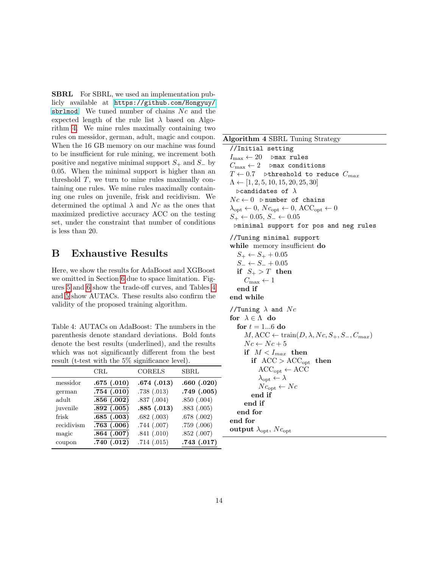SBRL For SBRL, we used an implementation publicly available at [https://github.com/Hongyuy/](https://github.com/Hongyuy/sbrlmod) [sbrlmod](https://github.com/Hongyuy/sbrlmod). We tuned number of chains  $N_c$  and the expected length of the rule list  $\lambda$  based on Algorithm [4.](#page-13-1) We mine rules maximally containing two rules on messidor, german, adult, magic and coupon. When the 16 GB memory on our machine was found to be insufficient for rule mining, we increment both positive and negative minimal support  $S_+$  and  $S_$  by 0.05. When the minimal support is higher than an threshold  $T$ , we turn to mine rules maximally containing one rules. We mine rules maximally containing one rules on juvenile, frisk and recidivism. We determined the optimal  $\lambda$  and Nc as the ones that maximized predictive accuracy ACC on the testing set, under the constraint that number of conditions is less than 20.

# <span id="page-13-0"></span>B Exhaustive Results

Here, we show the results for AdaBoost and XGBoost we omitted in Section [6](#page-5-3) due to space limitation. Figures [5](#page-14-0) and [6](#page-15-0) show the trade-off curves, and Tables [4](#page-13-2) and [5](#page-14-1) show AUTACs. These results also confirm the validity of the proposed training algorithm.

<span id="page-13-2"></span>Table 4: AUTACs on AdaBoost: The numbers in the parenthesis denote standard deviations. Bold fonts denote the best results (underlined), and the results which was not significantly different from the best result (t-test with the 5% significance level).

|            | $\rm CRL$               | <b>CORELS</b> | SBRL       |
|------------|-------------------------|---------------|------------|
| messidor   | .675(.010)              | .674(.013)    | .660(.020) |
| german     | .754(.010)              | .738(.013)    | .749(.005) |
| adult      | $.\overline{856(.002)}$ | .837(.004)    | .850(.004) |
| juvenile   | .892(.005)              | .885(.013)    | .883(.005) |
| frisk      | .685(.003)              | .682(.003)    | .678(.002) |
| recidivism | .763(.006)              | .744(.007)    | .759(.006) |
| magic      | .864(.007)              | .841(.010)    | .852(.007) |
| coupon     | .740 $(.012)$           | .714(.015)    | .743(.017) |

#### <span id="page-13-1"></span>Algorithm 4 SBRL Tuning Strategy

//Initial setting  $I_{\text{max}} \leftarrow 20$   $\triangleright$  max rules  $C_{\text{max}} \leftarrow 2$  .  $\triangleright$  max conditions  $T \leftarrow 0.7$  >threshold to reduce  $C_{max}$  $\Lambda \leftarrow [1, 2, 5, 10, 15, 20, 25, 30]$  $\triangleright$ candidates of  $\lambda$  $Nc \leftarrow 0$   $\triangleright$  number of chains  $\lambda_{\text{opt}} \leftarrow 0, N c_{\text{opt}} \leftarrow 0, A C C_{\text{opt}} \leftarrow 0$  $S_+ \leftarrow 0.05, S_- \leftarrow 0.05$  $\triangleright$ minimal support for pos and neg rules //Tuning minimal support while memory insufficient do  $S_+ \leftarrow S_+ + 0.05$  $S_-\leftarrow S_-+0.05$ if  $S_+ > T$  then  $C_{\text{max}} \leftarrow 1$ end if end while //Tuning  $\lambda$  and  $N_c$ for  $\lambda \in \Lambda$  do for  $t = 1...6$  do  $M, ACC \leftarrow train(D, \lambda, Nc, S_+, S_-, C_{max})$  $Nc \leftarrow Nc + 5$ if  $M < I_{max}$  then if  $\text{ACC} > \text{ACC}_{\text{opt}}$  then  $ACC_{opt} \leftarrow ACC$  $\lambda_{\text{opt}} \leftarrow \lambda$  $N c_{\rm opt} \leftarrow N c$ end if end if end for end for output  $\lambda_{\rm opt}$ ,  $N c_{\rm opt}$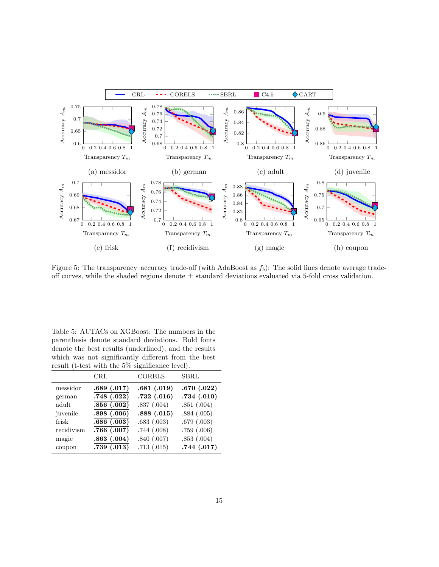

<span id="page-14-0"></span>Figure 5: The transparency–accuracy trade-off (with AdaBoost as  $f_b$ ): The solid lines denote average tradeoff curves, while the shaded regions denote  $\pm$  standard deviations evaluated via 5-fold cross validation.

<span id="page-14-1"></span>Table 5: AUTACs on XGBoost: The numbers in the parenthesis denote standard deviations. Bold fonts denote the best results (underlined), and the results which was not significantly different from the best result (t-test with the 5% significance level).

|            | $\rm CRL$  | <b>CORELS</b> | <b>SBRL</b> |
|------------|------------|---------------|-------------|
| messidor   | .689(.017) | .681(.019)    | .670(.022)  |
| german     | .748(.022) | .732(.016)    | .734(.010)  |
| adult      | .856(.002) | .837(.004)    | .851(.004)  |
| juvenile   | .898(.006) | .888(.015)    | .884(.005)  |
| frisk      | .686(.003) | .683(.003)    | .679(.003)  |
| recidivism | .766(.007) | .744(.008)    | .759(.006)  |
| magic      | .863(.004) | .840(.007)    | .853(.004)  |
| coupon     | .739(.013) | .713(.015)    | .744(.017)  |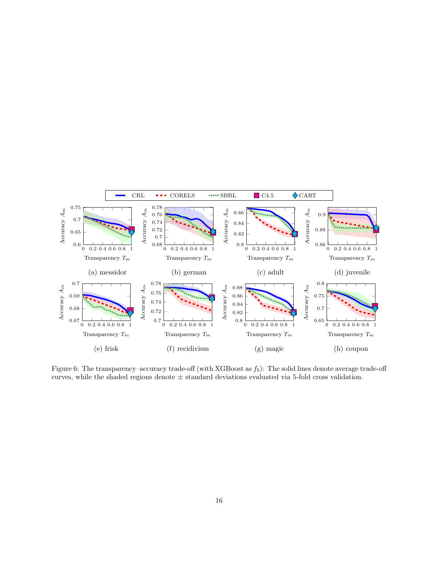

<span id="page-15-0"></span>Figure 6: The transparency–accuracy trade-off (with XGBoost as  $f_b$ ): The solid lines denote average trade-off curves, while the shaded regions denote  $\pm$  standard deviations evaluated via 5-fold cross validation.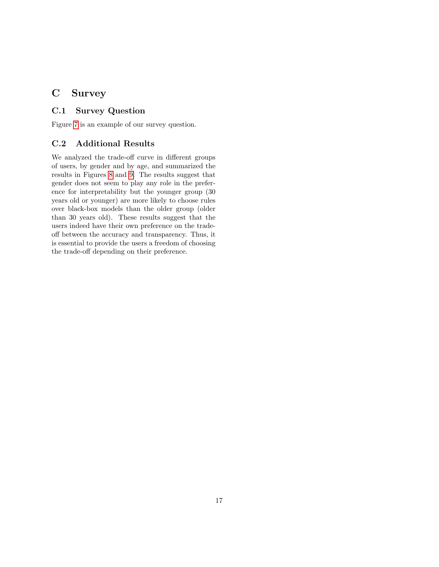# <span id="page-16-0"></span>C Survey

#### C.1 Survey Question

Figure [7](#page-17-0) is an example of our survey question.

#### C.2 Additional Results

We analyzed the trade-off curve in different groups of users, by gender and by age, and summarized the results in Figures [8](#page-18-0) and [9.](#page-18-1) The results suggest that gender does not seem to play any role in the preference for interpretability but the younger group (30 years old or younger) are more likely to choose rules over black-box models than the older group (older than 30 years old). These results suggest that the users indeed have their own preference on the tradeoff between the accuracy and transparency. Thus, it is essential to provide the users a freedom of choosing the trade-off depending on their preference.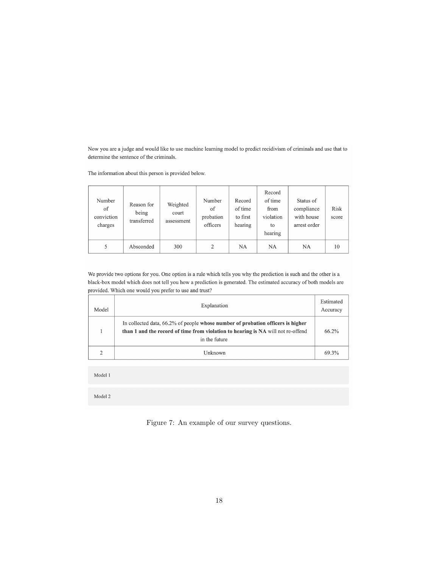Now you are a judge and would like to use machine learning model to predict recidivism of criminals and use that to determine the sentence of the criminals.

The information about this person is provided below.

| Number<br>of<br>conviction<br>charges | Reason for<br>being<br>transferred | Weighted<br>court<br>assessment | Number<br>of<br>probation<br>officers | Record<br>of time<br>to first<br>hearing | Record<br>of time<br>from<br>violation<br>to<br>hearing | Status of<br>compliance<br>with house<br>arrest order | Risk<br>score |
|---------------------------------------|------------------------------------|---------------------------------|---------------------------------------|------------------------------------------|---------------------------------------------------------|-------------------------------------------------------|---------------|
| 5                                     | Absconded                          | 300                             | 2                                     | NA                                       | <b>NA</b>                                               | NA                                                    | 10            |

We provide two options for you. One option is a rule which tells you why the prediction is such and the other is a black-box model which does not tell you how a prediction is generated. The estimated accuracy of both models are provided. Which one would you prefer to use and trust?

| Model | Explanation                                                                                                                                                                          | Estimated<br>Accuracy |
|-------|--------------------------------------------------------------------------------------------------------------------------------------------------------------------------------------|-----------------------|
|       | In collected data, 66.2% of people whose number of probation officers is higher<br>than 1 and the record of time from violation to hearing is NA will not re-offend<br>in the future | 66.2%                 |
|       | Unknown                                                                                                                                                                              | 69.3%                 |

Model 1

Model 2

<span id="page-17-0"></span>Figure 7: An example of our survey questions.